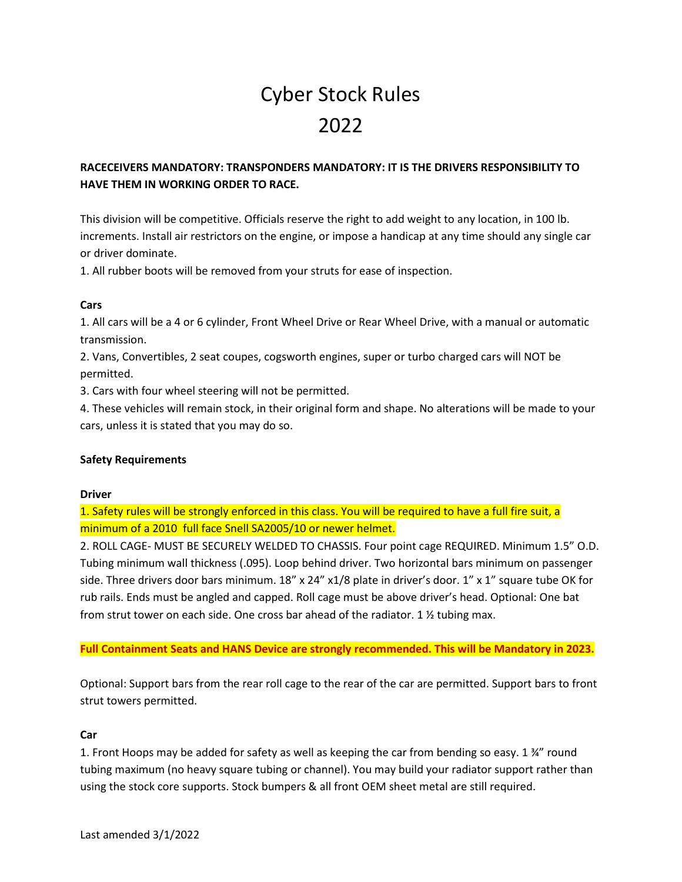# Cyber Stock Rules 2022

## **RACECEIVERS MANDATORY: TRANSPONDERS MANDATORY: IT IS THE DRIVERS RESPONSIBILITY TO HAVE THEM IN WORKING ORDER TO RACE.**

This division will be competitive. Officials reserve the right to add weight to any location, in 100 lb. increments. Install air restrictors on the engine, or impose a handicap at any time should any single car or driver dominate.

1. All rubber boots will be removed from your struts for ease of inspection.

## **Cars**

1. All cars will be a 4 or 6 cylinder, Front Wheel Drive or Rear Wheel Drive, with a manual or automatic transmission.

2. Vans, Convertibles, 2 seat coupes, cogsworth engines, super or turbo charged cars will NOT be permitted.

3. Cars with four wheel steering will not be permitted.

4. These vehicles will remain stock, in their original form and shape. No alterations will be made to your cars, unless it is stated that you may do so.

## **Safety Requirements**

#### **Driver**

1. Safety rules will be strongly enforced in this class. You will be required to have a full fire suit, a minimum of a 2010 full face Snell SA2005/10 or newer helmet.

2. ROLL CAGE- MUST BE SECURELY WELDED TO CHASSIS. Four point cage REQUIRED. Minimum 1.5" O.D. Tubing minimum wall thickness (.095). Loop behind driver. Two horizontal bars minimum on passenger side. Three drivers door bars minimum. 18" x 24" x1/8 plate in driver's door. 1" x 1" square tube OK for rub rails. Ends must be angled and capped. Roll cage must be above driver's head. Optional: One bat from strut tower on each side. One cross bar ahead of the radiator. 1  $\frac{1}{2}$  tubing max.

## **Full Containment Seats and HANS Device are strongly recommended. This will be Mandatory in 2023.**

Optional: Support bars from the rear roll cage to the rear of the car are permitted. Support bars to front strut towers permitted.

#### **Car**

1. Front Hoops may be added for safety as well as keeping the car from bending so easy. 1 ¾" round tubing maximum (no heavy square tubing or channel). You may build your radiator support rather than using the stock core supports. Stock bumpers & all front OEM sheet metal are still required.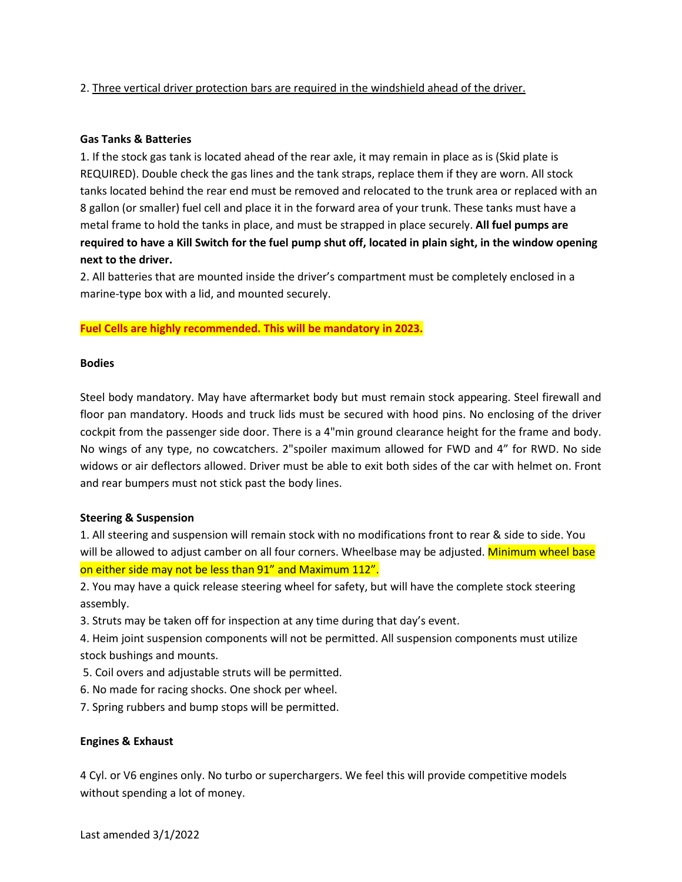### 2. Three vertical driver protection bars are required in the windshield ahead of the driver.

#### **Gas Tanks & Batteries**

1. If the stock gas tank is located ahead of the rear axle, it may remain in place as is (Skid plate is REQUIRED). Double check the gas lines and the tank straps, replace them if they are worn. All stock tanks located behind the rear end must be removed and relocated to the trunk area or replaced with an 8 gallon (or smaller) fuel cell and place it in the forward area of your trunk. These tanks must have a metal frame to hold the tanks in place, and must be strapped in place securely. **All fuel pumps are required to have a Kill Switch for the fuel pump shut off, located in plain sight, in the window opening next to the driver.**

2. All batteries that are mounted inside the driver's compartment must be completely enclosed in a marine-type box with a lid, and mounted securely.

#### **Fuel Cells are highly recommended. This will be mandatory in 2023.**

#### **Bodies**

Steel body mandatory. May have aftermarket body but must remain stock appearing. Steel firewall and floor pan mandatory. Hoods and truck lids must be secured with hood pins. No enclosing of the driver cockpit from the passenger side door. There is a 4"min ground clearance height for the frame and body. No wings of any type, no cowcatchers. 2"spoiler maximum allowed for FWD and 4" for RWD. No side widows or air deflectors allowed. Driver must be able to exit both sides of the car with helmet on. Front and rear bumpers must not stick past the body lines.

#### **Steering & Suspension**

1. All steering and suspension will remain stock with no modifications front to rear & side to side. You will be allowed to adjust camber on all four corners. Wheelbase may be adjusted. Minimum wheel base on either side may not be less than 91" and Maximum 112".

2. You may have a quick release steering wheel for safety, but will have the complete stock steering assembly.

- 3. Struts may be taken off for inspection at any time during that day's event.
- 4. Heim joint suspension components will not be permitted. All suspension components must utilize stock bushings and mounts.
- 5. Coil overs and adjustable struts will be permitted.
- 6. No made for racing shocks. One shock per wheel.
- 7. Spring rubbers and bump stops will be permitted.

#### **Engines & Exhaust**

4 Cyl. or V6 engines only. No turbo or superchargers. We feel this will provide competitive models without spending a lot of money.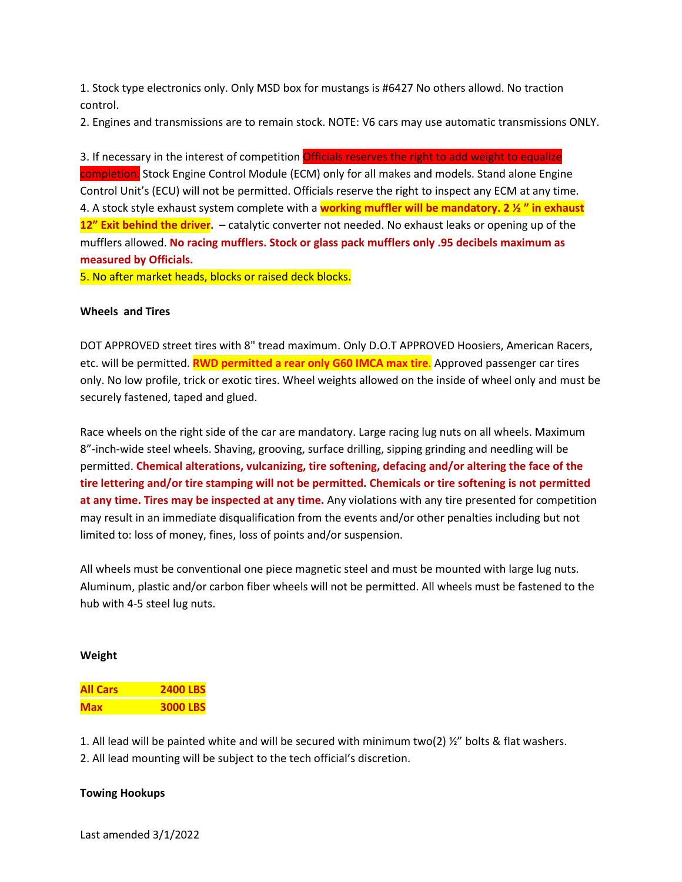1. Stock type electronics only. Only MSD box for mustangs is #6427 No others allowd. No traction control.

2. Engines and transmissions are to remain stock. NOTE: V6 cars may use automatic transmissions ONLY.

3. If necessary in the interest of competition *Officials reserves the right to add weight to equalize* completion. Stock Engine Control Module (ECM) only for all makes and models. Stand alone Engine Control Unit's (ECU) will not be permitted. Officials reserve the right to inspect any ECM at any time. 4. A stock style exhaust system complete with a **working muffler will be mandatory. 2 ½ " in exhaust 12" Exit behind the driver.** – catalytic converter not needed. No exhaust leaks or opening up of the mufflers allowed. **No racing mufflers. Stock or glass pack mufflers only .95 decibels maximum as measured by Officials.**

5. No after market heads, blocks or raised deck blocks.

#### **Wheels and Tires**

DOT APPROVED street tires with 8" tread maximum. Only D.O.T APPROVED Hoosiers, American Racers, etc. will be permitted. **RWD permitted a rear only G60 IMCA max tire**. Approved passenger car tires only. No low profile, trick or exotic tires. Wheel weights allowed on the inside of wheel only and must be securely fastened, taped and glued.

Race wheels on the right side of the car are mandatory. Large racing lug nuts on all wheels. Maximum 8"-inch-wide steel wheels. Shaving, grooving, surface drilling, sipping grinding and needling will be permitted. **Chemical alterations, vulcanizing, tire softening, defacing and/or altering the face of the tire lettering and/or tire stamping will not be permitted. Chemicals or tire softening is not permitted at any time. Tires may be inspected at any time.** Any violations with any tire presented for competition may result in an immediate disqualification from the events and/or other penalties including but not limited to: loss of money, fines, loss of points and/or suspension.

All wheels must be conventional one piece magnetic steel and must be mounted with large lug nuts. Aluminum, plastic and/or carbon fiber wheels will not be permitted. All wheels must be fastened to the hub with 4-5 steel lug nuts.

#### **Weight**

| <b>All Cars</b> | <b>2400 LBS</b> |
|-----------------|-----------------|
| <b>Max</b>      | <b>3000 LBS</b> |

1. All lead will be painted white and will be secured with minimum two(2) ½" bolts & flat washers.

2. All lead mounting will be subject to the tech official's discretion.

#### **Towing Hookups**